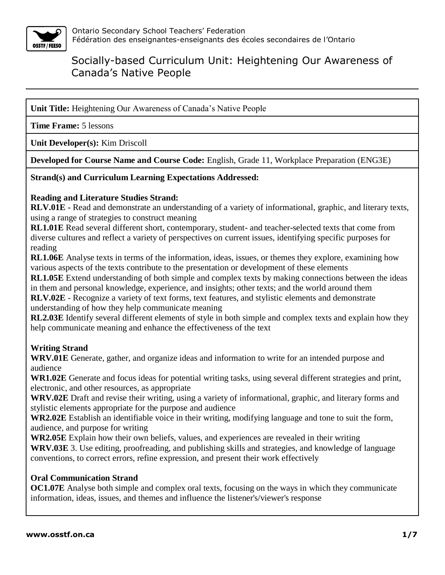

**Unit Title:** Heightening Our Awareness of Canada's Native People

**Time Frame:** 5 lessons

**Unit Developer(s):** Kim Driscoll

**Developed for Course Name and Course Code:** English, Grade 11, Workplace Preparation (ENG3E)

**Strand(s) and Curriculum Learning Expectations Addressed:**

#### **Reading and Literature Studies Strand:**

**RLV.01E -** Read and demonstrate an understanding of a variety of informational, graphic, and literary texts, using a range of strategies to construct meaning

**RL1.01E** Read several different short, contemporary, student- and teacher-selected texts that come from diverse cultures and reflect a variety of perspectives on current issues, identifying specific purposes for reading

**RL1.06E** Analyse texts in terms of the information, ideas, issues, or themes they explore, examining how various aspects of the texts contribute to the presentation or development of these elements

**RL1.05E** Extend understanding of both simple and complex texts by making connections between the ideas in them and personal knowledge, experience, and insights; other texts; and the world around them **RLV.02E** - Recognize a variety of text forms, text features, and stylistic elements and demonstrate understanding of how they help communicate meaning

**RL2.03E** Identify several different elements of style in both simple and complex texts and explain how they help communicate meaning and enhance the effectiveness of the text

### **Writing Strand**

**WRV.01E** Generate, gather, and organize ideas and information to write for an intended purpose and audience

**WR1.02E** Generate and focus ideas for potential writing tasks, using several different strategies and print, electronic, and other resources, as appropriate

**WRV.02E** Draft and revise their writing, using a variety of informational, graphic, and literary forms and stylistic elements appropriate for the purpose and audience

**WR2.02E** Establish an identifiable voice in their writing, modifying language and tone to suit the form, audience, and purpose for writing

**WR2.05E** Explain how their own beliefs, values, and experiences are revealed in their writing **WRV.03E** 3. Use editing, proofreading, and publishing skills and strategies, and knowledge of language conventions, to correct errors, refine expression, and present their work effectively

#### **Oral Communication Strand**

**OC1.07E** Analyse both simple and complex oral texts, focusing on the ways in which they communicate information, ideas, issues, and themes and influence the listener's/viewer's response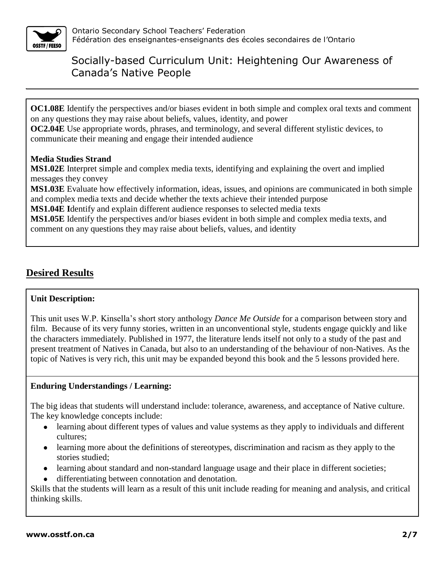

**OC1.08E** Identify the perspectives and/or biases evident in both simple and complex oral texts and comment on any questions they may raise about beliefs, values, identity, and power

**OC2.04E** Use appropriate words, phrases, and terminology, and several different stylistic devices, to communicate their meaning and engage their intended audience

### **Media Studies Strand**

**MS1.02E** Interpret simple and complex media texts, identifying and explaining the overt and implied messages they convey

**MS1.03E** Evaluate how effectively information, ideas, issues, and opinions are communicated in both simple and complex media texts and decide whether the texts achieve their intended purpose

**MS1.04E I**dentify and explain different audience responses to selected media texts

**MS1.05E** Identify the perspectives and/or biases evident in both simple and complex media texts, and comment on any questions they may raise about beliefs, values, and identity

## **Desired Results**

#### **Unit Description:**

This unit uses W.P. Kinsella's short story anthology *Dance Me Outside* for a comparison between story and film. Because of its very funny stories, written in an unconventional style, students engage quickly and like the characters immediately. Published in 1977, the literature lends itself not only to a study of the past and present treatment of Natives in Canada, but also to an understanding of the behaviour of non-Natives. As the topic of Natives is very rich, this unit may be expanded beyond this book and the 5 lessons provided here.

### **Enduring Understandings / Learning:**

The big ideas that students will understand include: tolerance, awareness, and acceptance of Native culture. The key knowledge concepts include:

- learning about different types of values and value systems as they apply to individuals and different cultures;
- learning more about the definitions of stereotypes, discrimination and racism as they apply to the stories studied;
- learning about standard and non-standard language usage and their place in different societies;
- differentiating between connotation and denotation.

Skills that the students will learn as a result of this unit include reading for meaning and analysis, and critical thinking skills.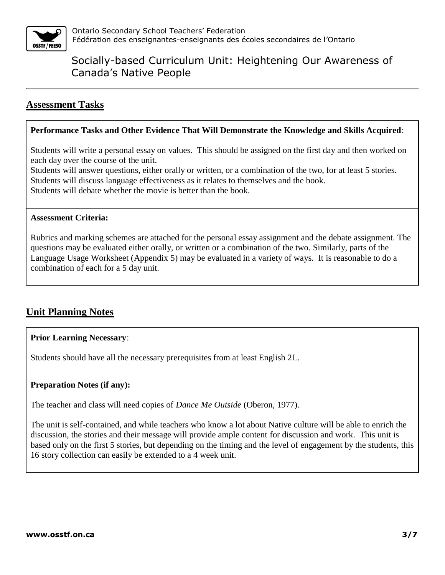

## **Assessment Tasks**

#### **Performance Tasks and Other Evidence That Will Demonstrate the Knowledge and Skills Acquired**:

Students will write a personal essay on values. This should be assigned on the first day and then worked on each day over the course of the unit.

Students will answer questions, either orally or written, or a combination of the two, for at least 5 stories. Students will discuss language effectiveness as it relates to themselves and the book. Students will debate whether the movie is better than the book.

#### **Assessment Criteria:**

Rubrics and marking schemes are attached for the personal essay assignment and the debate assignment. The questions may be evaluated either orally, or written or a combination of the two. Similarly, parts of the Language Usage Worksheet (Appendix 5) may be evaluated in a variety of ways. It is reasonable to do a combination of each for a 5 day unit.

## **Unit Planning Notes**

#### **Prior Learning Necessary**:

Students should have all the necessary prerequisites from at least English 2L.

#### **Preparation Notes (if any):**

The teacher and class will need copies of *Dance Me Outside* (Oberon, 1977).

The unit is self-contained, and while teachers who know a lot about Native culture will be able to enrich the discussion, the stories and their message will provide ample content for discussion and work. This unit is based only on the first 5 stories, but depending on the timing and the level of engagement by the students, this 16 story collection can easily be extended to a 4 week unit.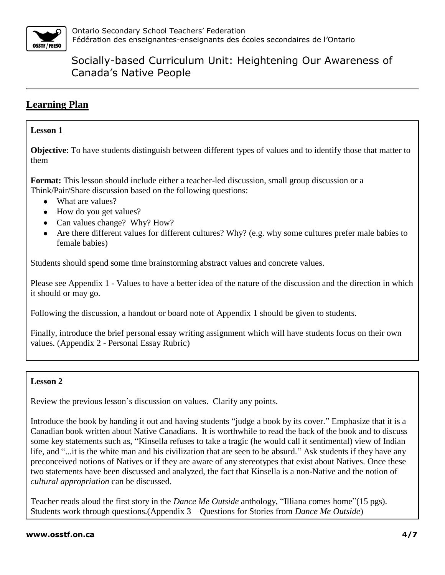

## **Learning Plan**

### **Lesson 1**

**Objective**: To have students distinguish between different types of values and to identify those that matter to them

**Format:** This lesson should include either a teacher-led discussion, small group discussion or a Think/Pair/Share discussion based on the following questions:

- What are values?
- How do you get values?
- Can values change? Why? How?
- Are there different values for different cultures? Why? (e.g. why some cultures prefer male babies to female babies)

Students should spend some time brainstorming abstract values and concrete values.

Please see Appendix 1 - Values to have a better idea of the nature of the discussion and the direction in which it should or may go.

Following the discussion, a handout or board note of Appendix 1 should be given to students.

Finally, introduce the brief personal essay writing assignment which will have students focus on their own values. (Appendix 2 - Personal Essay Rubric)

### **Lesson 2**

Review the previous lesson's discussion on values. Clarify any points.

Introduce the book by handing it out and having students "judge a book by its cover." Emphasize that it is a Canadian book written about Native Canadians. It is worthwhile to read the back of the book and to discuss some key statements such as, "Kinsella refuses to take a tragic (he would call it sentimental) view of Indian life, and "...it is the white man and his civilization that are seen to be absurd." Ask students if they have any preconceived notions of Natives or if they are aware of any stereotypes that exist about Natives. Once these two statements have been discussed and analyzed, the fact that Kinsella is a non-Native and the notion of *cultural appropriation* can be discussed.

Teacher reads aloud the first story in the *Dance Me Outside* anthology, "Illiana comes home"(15 pgs). Students work through questions.(Appendix 3 – Questions for Stories from *Dance Me Outside*)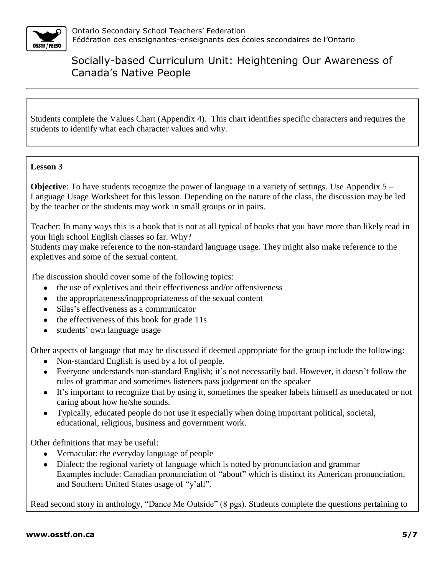

Students complete the Values Chart (Appendix 4). This chart identifies specific characters and requires the students to identify what each character values and why.

### **Lesson 3**

**Objective**: To have students recognize the power of language in a variety of settings. Use Appendix 5 – Language Usage Worksheet for this lesson. Depending on the nature of the class, the discussion may be led by the teacher or the students may work in small groups or in pairs.

Teacher: In many ways this is a book that is not at all typical of books that you have more than likely read in your high school English classes so far. Why?

Students may make reference to the non-standard language usage. They might also make reference to the expletives and some of the sexual content.

The discussion should cover some of the following topics:

- the use of expletives and their effectiveness and/or offensiveness
- the appropriateness/inappropriateness of the sexual content
- Silas's effectiveness as a communicator
- $\bullet$  the effectiveness of this book for grade 11s
- students' own language usage

Other aspects of language that may be discussed if deemed appropriate for the group include the following:

- Non-standard English is used by a lot of people.
- Everyone understands non-standard English; it's not necessarily bad. However, it doesn't follow the rules of grammar and sometimes listeners pass judgement on the speaker
- It's important to recognize that by using it, sometimes the speaker labels himself as uneducated or not caring about how he/she sounds.
- Typically, educated people do not use it especially when doing important political, societal, educational, religious, business and government work.

Other definitions that may be useful:

- Vernacular: the everyday language of people
- Dialect: the regional variety of language which is noted by pronunciation and grammar Examples include: Canadian pronunciation of "about" which is distinct its American pronunciation, and Southern United States usage of "y'all".

Read second story in anthology, "Dance Me Outside" (8 pgs). Students complete the questions pertaining to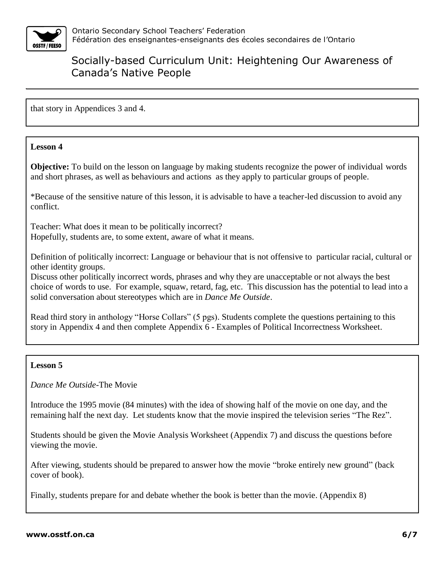

that story in Appendices 3 and 4.

### **Lesson 4**

**Objective:** To build on the lesson on language by making students recognize the power of individual words and short phrases, as well as behaviours and actions as they apply to particular groups of people.

\*Because of the sensitive nature of this lesson, it is advisable to have a teacher-led discussion to avoid any conflict.

Teacher: What does it mean to be politically incorrect? Hopefully, students are, to some extent, aware of what it means.

Definition of politically incorrect: Language or behaviour that is not offensive to particular racial, cultural or other identity groups.

Discuss other politically incorrect words, phrases and why they are unacceptable or not always the best choice of words to use. For example, squaw, retard, fag, etc. This discussion has the potential to lead into a solid conversation about stereotypes which are in *Dance Me Outside*.

Read third story in anthology "Horse Collars" (5 pgs). Students complete the questions pertaining to this story in Appendix 4 and then complete Appendix 6 - Examples of Political Incorrectness Worksheet.

#### **Lesson 5**

*Dance Me Outside*-The Movie

Introduce the 1995 movie (84 minutes) with the idea of showing half of the movie on one day, and the remaining half the next day. Let students know that the movie inspired the television series "The Rez".

Students should be given the Movie Analysis Worksheet (Appendix 7) and discuss the questions before viewing the movie.

After viewing, students should be prepared to answer how the movie "broke entirely new ground" (back cover of book).

Finally, students prepare for and debate whether the book is better than the movie. (Appendix 8)